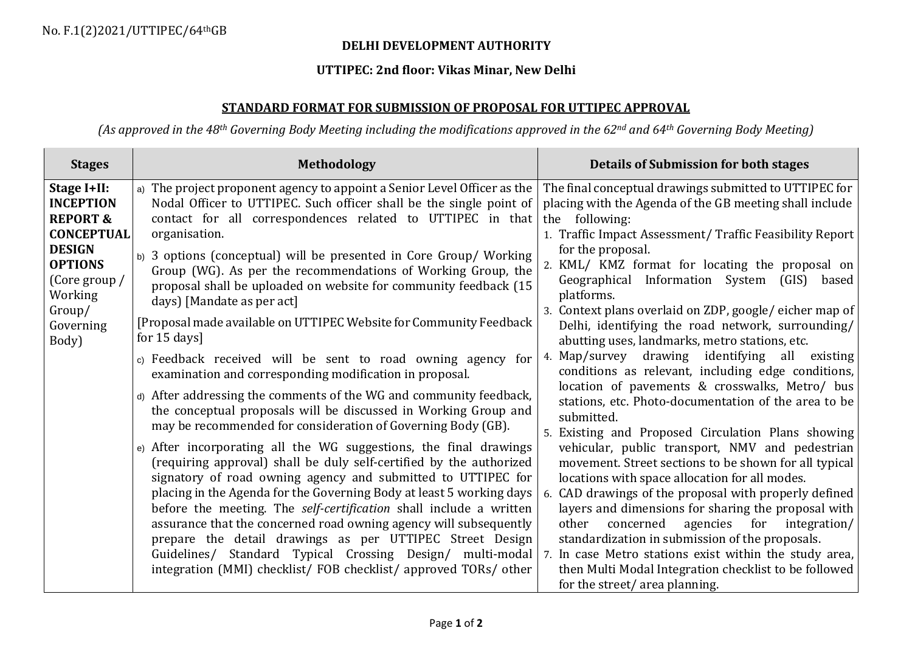## **DELHI DEVELOPMENT AUTHORITY**

## **UTTIPEC: 2nd floor: Vikas Minar, New Delhi**

## **STANDARD FORMAT FOR SUBMISSION OF PROPOSAL FOR UTTIPEC APPROVAL**

*(As approved in the 48th Governing Body Meeting including the modifications approved in the 62nd and 64th Governing Body Meeting)*

| <b>Stages</b>                                                                                                                                                              | <b>Methodology</b>                                                                                                                                                                                                                                                                                                                                                                                                                                                                                                                                                                                                                                                                                                                                                                                                                                                                                                                                                                                                                                                                                                                                                                                                                                                                                                                                                                                                                                                                                                                   | Details of Submission for both stages                                                                                                                                                                                                                                                                                                                                                                                                                                                                                                                                                                                                                                                                                                                                                                                                                                                                                                                                                                                                                                                                                                                                                                                                                                                                                              |
|----------------------------------------------------------------------------------------------------------------------------------------------------------------------------|--------------------------------------------------------------------------------------------------------------------------------------------------------------------------------------------------------------------------------------------------------------------------------------------------------------------------------------------------------------------------------------------------------------------------------------------------------------------------------------------------------------------------------------------------------------------------------------------------------------------------------------------------------------------------------------------------------------------------------------------------------------------------------------------------------------------------------------------------------------------------------------------------------------------------------------------------------------------------------------------------------------------------------------------------------------------------------------------------------------------------------------------------------------------------------------------------------------------------------------------------------------------------------------------------------------------------------------------------------------------------------------------------------------------------------------------------------------------------------------------------------------------------------------|------------------------------------------------------------------------------------------------------------------------------------------------------------------------------------------------------------------------------------------------------------------------------------------------------------------------------------------------------------------------------------------------------------------------------------------------------------------------------------------------------------------------------------------------------------------------------------------------------------------------------------------------------------------------------------------------------------------------------------------------------------------------------------------------------------------------------------------------------------------------------------------------------------------------------------------------------------------------------------------------------------------------------------------------------------------------------------------------------------------------------------------------------------------------------------------------------------------------------------------------------------------------------------------------------------------------------------|
| Stage I+II:<br><b>INCEPTION</b><br><b>REPORT &amp;</b><br><b>CONCEPTUAL</b><br><b>DESIGN</b><br><b>OPTIONS</b><br>(Core group /<br>Working<br>Group/<br>Governing<br>Body) | a) The project proponent agency to appoint a Senior Level Officer as the<br>Nodal Officer to UTTIPEC. Such officer shall be the single point of<br>contact for all correspondences related to UTTIPEC in that<br>organisation.<br>b) 3 options (conceptual) will be presented in Core Group/ Working<br>Group (WG). As per the recommendations of Working Group, the<br>proposal shall be uploaded on website for community feedback (15<br>days) [Mandate as per act]<br>[Proposal made available on UTTIPEC Website for Community Feedback<br>for $15 \text{ days}$<br>c) Feedback received will be sent to road owning agency for<br>examination and corresponding modification in proposal.<br>d) After addressing the comments of the WG and community feedback,<br>the conceptual proposals will be discussed in Working Group and<br>may be recommended for consideration of Governing Body (GB).<br>e) After incorporating all the WG suggestions, the final drawings<br>(requiring approval) shall be duly self-certified by the authorized<br>signatory of road owning agency and submitted to UTTIPEC for<br>placing in the Agenda for the Governing Body at least 5 working days<br>before the meeting. The self-certification shall include a written<br>assurance that the concerned road owning agency will subsequently<br>prepare the detail drawings as per UTTIPEC Street Design<br>Guidelines/ Standard Typical Crossing Design/ multi-modal<br>integration (MMI) checklist/ FOB checklist/ approved TORs/ other | The final conceptual drawings submitted to UTTIPEC for<br>placing with the Agenda of the GB meeting shall include<br>the following:<br>1. Traffic Impact Assessment/Traffic Feasibility Report<br>for the proposal.<br>2. KML/ KMZ format for locating the proposal on<br>Geographical Information System (GIS) based<br>platforms.<br>3. Context plans overlaid on ZDP, google/eicher map of<br>Delhi, identifying the road network, surrounding/<br>abutting uses, landmarks, metro stations, etc.<br>4. Map/survey drawing identifying all existing<br>conditions as relevant, including edge conditions,<br>location of pavements & crosswalks, Metro/ bus<br>stations, etc. Photo-documentation of the area to be<br>submitted.<br>5. Existing and Proposed Circulation Plans showing<br>vehicular, public transport, NMV and pedestrian<br>movement. Street sections to be shown for all typical<br>locations with space allocation for all modes.<br>6. CAD drawings of the proposal with properly defined<br>layers and dimensions for sharing the proposal with<br>other<br>concerned<br>agencies for integration/<br>standardization in submission of the proposals.<br>7. In case Metro stations exist within the study area,<br>then Multi Modal Integration checklist to be followed<br>for the street/area planning. |